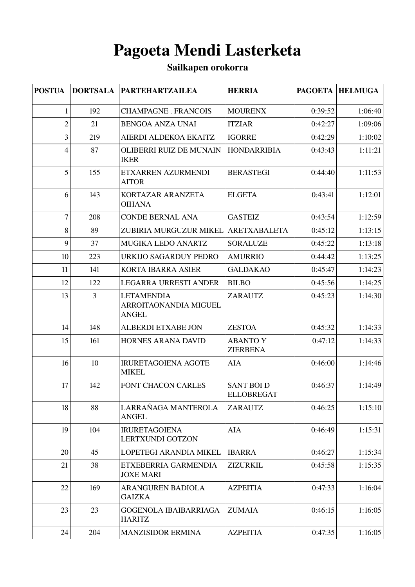## Pagoeta Mendi Lasterketa

## Sailkapen orokorra

| <b>POSTUA</b>  | <b>DORTSALA</b> | <b>PARTEHARTZAILEA</b>                                     | <b>HERRIA</b>                          | <b>PAGOETA</b> | <b>HELMUGA</b> |
|----------------|-----------------|------------------------------------------------------------|----------------------------------------|----------------|----------------|
| 1              | 192             | <b>CHAMPAGNE. FRANCOIS</b>                                 | <b>MOURENX</b>                         | 0:39:52        | 1:06:40        |
| $\overline{2}$ | 21              | <b>BENGOA ANZA UNAI</b>                                    | <b>ITZIAR</b>                          | 0:42:27        | 1:09:06        |
| 3              | 219             | AIERDI ALDEKOA EKAITZ                                      | <b>IGORRE</b>                          | 0:42:29        | 1:10:02        |
| 4              | 87              | <b>OLIBERRI RUIZ DE MUNAIN</b><br><b>IKER</b>              | <b>HONDARRIBIA</b>                     | 0:43:43        | 1:11:21        |
| 5              | 155             | ETXARREN AZURMENDI<br><b>AITOR</b>                         | <b>BERASTEGI</b>                       | 0:44:40        | 1:11:53        |
| 6              | 143             | KORTAZAR ARANZETA<br><b>OIHANA</b>                         | <b>ELGETA</b>                          | 0:43:41        | 1:12:01        |
| 7              | 208             | <b>CONDE BERNAL ANA</b>                                    | <b>GASTEIZ</b>                         | 0:43:54        | 1:12:59        |
| 8              | 89              | ZUBIRIA MURGUZUR MIKEL                                     | <b>ARETXABALETA</b>                    | 0:45:12        | 1:13:15        |
| 9              | 37              | MUGIKA LEDO ANARTZ                                         | <b>SORALUZE</b>                        | 0:45:22        | 1:13:18        |
| 10             | 223             | URKIJO SAGARDUY PEDRO                                      | <b>AMURRIO</b>                         | 0:44:42        | 1:13:25        |
| 11             | 141             | <b>KORTA IBARRA ASIER</b>                                  | <b>GALDAKAO</b>                        | 0:45:47        | 1:14:23        |
| 12             | 122             | LEGARRA URRESTI ANDER                                      | <b>BILBO</b>                           | 0:45:56        | 1:14:25        |
| 13             | 3               | <b>LETAMENDIA</b><br>ARROITAONANDIA MIGUEL<br><b>ANGEL</b> | <b>ZARAUTZ</b>                         | 0:45:23        | 1:14:30        |
| 14             | 148             | <b>ALBERDI ETXABE JON</b>                                  | <b>ZESTOA</b>                          | 0:45:32        | 1:14:33        |
| 15             | 161             | <b>HORNES ARANA DAVID</b>                                  | <b>ABANTO Y</b><br><b>ZIERBENA</b>     | 0:47:12        | 1:14:33        |
| 16             | 10              | <b>IRURETAGOIENA AGOTE</b><br><b>MIKEL</b>                 | AIA                                    | 0:46:00        | 1:14:46        |
| 17             | 142             | <b>FONT CHACON CARLES</b>                                  | <b>SANT BOI D</b><br><b>ELLOBREGAT</b> | 0:46:37        | 1:14:49        |
| 18             | 88              | LARRAÑAGA MANTEROLA<br><b>ANGEL</b>                        | <b>ZARAUTZ</b>                         | 0:46:25        | 1:15:10        |
| 19             | 104             | <b>IRURETAGOIENA</b><br><b>LERTXUNDI GOTZON</b>            | <b>AIA</b>                             | 0:46:49        | 1:15:31        |
| 20             | 45              | LOPETEGI ARANDIA MIKEL                                     | <b>IBARRA</b>                          | 0:46:27        | 1:15:34        |
| 21             | 38              | ETXEBERRIA GARMENDIA<br><b>JOXE MARI</b>                   | <b>ZIZURKIL</b>                        | 0:45:58        | 1:15:35        |
| 22             | 169             | <b>ARANGUREN BADIOLA</b><br><b>GAIZKA</b>                  | <b>AZPEITIA</b>                        | 0:47:33        | 1:16:04        |
| 23             | 23              | <b>GOGENOLA IBAIBARRIAGA</b><br><b>HARITZ</b>              | <b>ZUMAIA</b>                          | 0:46:15        | 1:16:05        |
| 24             | 204             | <b>MANZISIDOR ERMINA</b>                                   | <b>AZPEITIA</b>                        | 0:47:35        | 1:16:05        |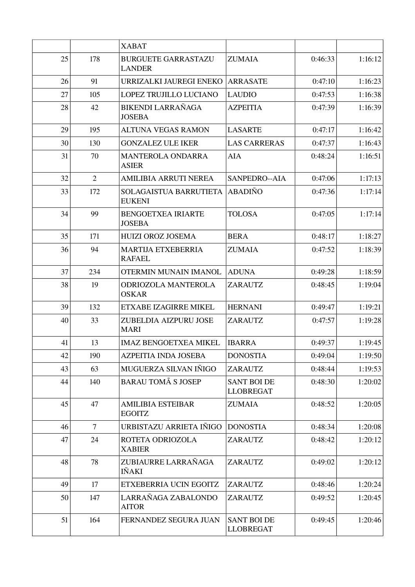|    |                | <b>XABAT</b>                                |                                        |         |         |
|----|----------------|---------------------------------------------|----------------------------------------|---------|---------|
| 25 | 178            | <b>BURGUETE GARRASTAZU</b><br><b>LANDER</b> | <b>ZUMAIA</b>                          | 0:46:33 | 1:16:12 |
| 26 | 91             | URRIZALKI JAUREGI ENEKO                     | <b>ARRASATE</b>                        | 0:47:10 | 1:16:23 |
| 27 | 105            | LOPEZ TRUJILLO LUCIANO                      | <b>LAUDIO</b>                          | 0:47:53 | 1:16:38 |
| 28 | 42             | <b>BIKENDI LARRAÑAGA</b><br><b>JOSEBA</b>   | <b>AZPEITIA</b>                        | 0:47:39 | 1:16:39 |
| 29 | 195            | <b>ALTUNA VEGAS RAMON</b>                   | <b>LASARTE</b>                         | 0:47:17 | 1:16:42 |
| 30 | 130            | <b>GONZALEZ ULE IKER</b>                    | <b>LAS CARRERAS</b>                    | 0:47:37 | 1:16:43 |
| 31 | 70             | <b>MANTEROLA ONDARRA</b><br><b>ASIER</b>    | <b>AIA</b>                             | 0:48:24 | 1:16:51 |
| 32 | $\overline{2}$ | <b>AMILIBIA ARRUTI NEREA</b>                | SANPEDRO--AIA                          | 0:47:06 | 1:17:13 |
| 33 | 172            | SOLAGAISTUA BARRUTIETA<br><b>EUKENI</b>     | <b>ABADIÑO</b>                         | 0:47:36 | 1:17:14 |
| 34 | 99             | <b>BENGOETXEA IRIARTE</b><br><b>JOSEBA</b>  | <b>TOLOSA</b>                          | 0:47:05 | 1:17:14 |
| 35 | 171            | <b>HUIZI OROZ JOSEMA</b>                    | <b>BERA</b>                            | 0:48:17 | 1:18:27 |
| 36 | 94             | <b>MARTIJA ETXEBERRIA</b><br><b>RAFAEL</b>  | <b>ZUMAIA</b>                          | 0:47:52 | 1:18:39 |
| 37 | 234            | OTERMIN MUNAIN IMANOL                       | <b>ADUNA</b>                           | 0:49:28 | 1:18:59 |
| 38 | 19             | ODRIOZOLA MANTEROLA<br><b>OSKAR</b>         | <b>ZARAUTZ</b>                         | 0:48:45 | 1:19:04 |
| 39 | 132            | ETXABE IZAGIRRE MIKEL                       | <b>HERNANI</b>                         | 0:49:47 | 1:19:21 |
| 40 | 33             | ZUBELDIA AIZPURU JOSE<br><b>MARI</b>        | <b>ZARAUTZ</b>                         | 0:47:57 | 1:19:28 |
| 41 | 13             | <b>IMAZ BENGOETXEA MIKEL</b>                | <b>IBARRA</b>                          | 0:49:37 | 1:19:45 |
| 42 | 190            | <b>AZPEITIA INDA JOSEBA</b>                 | <b>DONOSTIA</b>                        | 0:49:04 | 1:19:50 |
| 43 | 63             | MUGUERZA SILVAN IÑIGO                       | <b>ZARAUTZ</b>                         | 0:48:44 | 1:19:53 |
| 44 | 140            | <b>BARAU TOMÃ S JOSEP</b>                   | <b>SANT BOI DE</b><br><b>LLOBREGAT</b> | 0:48:30 | 1:20:02 |
| 45 | 47             | <b>AMILIBIA ESTEIBAR</b><br><b>EGOITZ</b>   | <b>ZUMAIA</b>                          | 0:48:52 | 1:20:05 |
| 46 | $\tau$         | URBISTAZU ARRIETA IÑIGO                     | <b>DONOSTIA</b>                        | 0:48:34 | 1:20:08 |
| 47 | 24             | ROTETA ODRIOZOLA<br><b>XABIER</b>           | <b>ZARAUTZ</b>                         | 0:48:42 | 1:20:12 |
| 48 | 78             | ZUBIAURRE LARRAÑAGA<br>IÑAKI                | <b>ZARAUTZ</b>                         | 0:49:02 | 1:20:12 |
| 49 | 17             | ETXEBERRIA UCIN EGOITZ                      | <b>ZARAUTZ</b>                         | 0:48:46 | 1:20:24 |
| 50 | 147            | LARRAÑAGA ZABALONDO<br><b>AITOR</b>         | <b>ZARAUTZ</b>                         | 0:49:52 | 1:20:45 |
| 51 | 164            | FERNANDEZ SEGURA JUAN                       | <b>SANT BOI DE</b><br><b>LLOBREGAT</b> | 0:49:45 | 1:20:46 |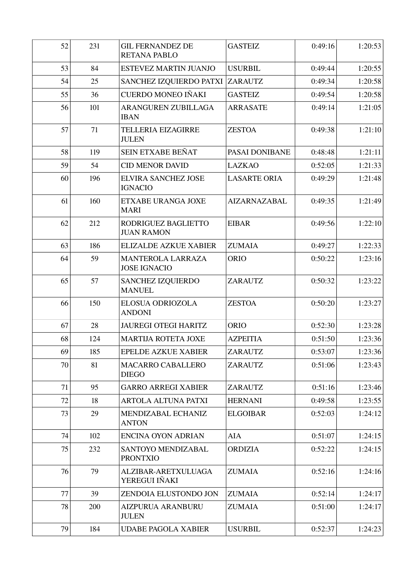| 52 | 231 | <b>GIL FERNANDEZ DE</b><br><b>RETANA PABLO</b>  | <b>GASTEIZ</b>      | 0:49:16 | 1:20:53 |
|----|-----|-------------------------------------------------|---------------------|---------|---------|
| 53 | 84  | ESTEVEZ MARTIN JUANJO                           | <b>USURBIL</b>      | 0:49:44 | 1:20:55 |
| 54 | 25  | SANCHEZ IZQUIERDO PATXI                         | <b>ZARAUTZ</b>      | 0:49:34 | 1:20:58 |
| 55 | 36  | CUERDO MONEO IÑAKI                              | <b>GASTEIZ</b>      | 0:49:54 | 1:20:58 |
| 56 | 101 | ARANGUREN ZUBILLAGA<br><b>IBAN</b>              | <b>ARRASATE</b>     | 0:49:14 | 1:21:05 |
| 57 | 71  | <b>TELLERIA EIZAGIRRE</b><br><b>JULEN</b>       | <b>ZESTOA</b>       | 0:49:38 | 1:21:10 |
| 58 | 119 | SEIN ETXABE BEÑAT                               | PASAI DONIBANE      | 0:48:48 | 1:21:11 |
| 59 | 54  | <b>CID MENOR DAVID</b>                          | <b>LAZKAO</b>       | 0:52:05 | 1:21:33 |
| 60 | 196 | ELVIRA SANCHEZ JOSE<br><b>IGNACIO</b>           | <b>LASARTE ORIA</b> | 0:49:29 | 1:21:48 |
| 61 | 160 | ETXABE URANGA JOXE<br><b>MARI</b>               | <b>AIZARNAZABAL</b> | 0:49:35 | 1:21:49 |
| 62 | 212 | RODRIGUEZ BAGLIETTO<br><b>JUAN RAMON</b>        | <b>EIBAR</b>        | 0:49:56 | 1:22:10 |
| 63 | 186 | <b>ELIZALDE AZKUE XABIER</b>                    | <b>ZUMAIA</b>       | 0:49:27 | 1:22:33 |
| 64 | 59  | <b>MANTEROLA LARRAZA</b><br><b>JOSE IGNACIO</b> | <b>ORIO</b>         | 0:50:22 | 1:23:16 |
| 65 | 57  | <b>SANCHEZ IZQUIERDO</b><br><b>MANUEL</b>       | <b>ZARAUTZ</b>      | 0:50:32 | 1:23:22 |
| 66 | 150 | ELOSUA ODRIOZOLA<br><b>ANDONI</b>               | <b>ZESTOA</b>       | 0:50:20 | 1:23:27 |
| 67 | 28  | <b>JAUREGI OTEGI HARITZ</b>                     | <b>ORIO</b>         | 0:52:30 | 1:23:28 |
| 68 | 124 | <b>MARTIJA ROTETA JOXE</b>                      | <b>AZPEITIA</b>     | 0:51:50 | 1:23:36 |
| 69 | 185 | <b>EPELDE AZKUE XABIER</b>                      | ZARAUTZ             | 0:53:07 | 1:23:36 |
| 70 | 81  | <b>MACARRO CABALLERO</b><br><b>DIEGO</b>        | <b>ZARAUTZ</b>      | 0:51:06 | 1:23:43 |
| 71 | 95  | <b>GARRO ARREGI XABIER</b>                      | <b>ZARAUTZ</b>      | 0:51:16 | 1:23:46 |
| 72 | 18  | <b>ARTOLA ALTUNA PATXI</b>                      | <b>HERNANI</b>      | 0:49:58 | 1:23:55 |
| 73 | 29  | MENDIZABAL ECHANIZ<br><b>ANTON</b>              | <b>ELGOIBAR</b>     | 0:52:03 | 1:24:12 |
| 74 | 102 | <b>ENCINA OYON ADRIAN</b>                       | AIA                 | 0:51:07 | 1:24:15 |
| 75 | 232 | SANTOYO MENDIZABAL<br><b>PRONTXIO</b>           | <b>ORDIZIA</b>      | 0:52:22 | 1:24:15 |
| 76 | 79  | ALZIBAR-ARETXULUAGA<br>YEREGUI IÑAKI            | <b>ZUMAIA</b>       | 0:52:16 | 1:24:16 |
| 77 | 39  | ZENDOIA ELUSTONDO JON                           | <b>ZUMAIA</b>       | 0:52:14 | 1:24:17 |
| 78 | 200 | <b>AIZPURUA ARANBURU</b><br><b>JULEN</b>        | <b>ZUMAIA</b>       | 0:51:00 | 1:24:17 |
| 79 | 184 | <b>UDABE PAGOLA XABIER</b>                      | <b>USURBIL</b>      | 0:52:37 | 1:24:23 |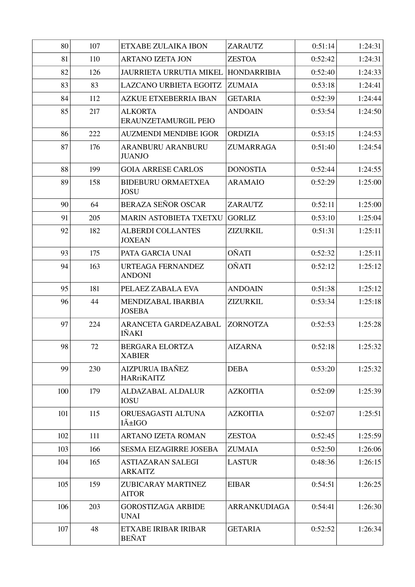| 80  | 107 | <b>ETXABE ZULAIKA IBON</b>                  | <b>ZARAUTZ</b>      | 0:51:14 | 1:24:31 |
|-----|-----|---------------------------------------------|---------------------|---------|---------|
| 81  | 110 | <b>ARTANO IZETA JON</b>                     | <b>ZESTOA</b>       | 0:52:42 | 1:24:31 |
| 82  | 126 | <b>JAURRIETA URRUTIA MIKEL</b>              | <b>HONDARRIBIA</b>  | 0:52:40 | 1:24:33 |
| 83  | 83  | <b>LAZCANO URBIETA EGOITZ</b>               | <b>ZUMAIA</b>       | 0:53:18 | 1:24:41 |
| 84  | 112 | <b>AZKUE ETXEBERRIA IBAN</b>                | <b>GETARIA</b>      | 0:52:39 | 1:24:44 |
| 85  | 217 | <b>ALKORTA</b><br>ERAUNZETAMURGIL PEIO      | <b>ANDOAIN</b>      | 0:53:54 | 1:24:50 |
| 86  | 222 | <b>AUZMENDI MENDIBE IGOR</b>                | <b>ORDIZIA</b>      | 0:53:15 | 1:24:53 |
| 87  | 176 | <b>ARANBURU ARANBURU</b><br><b>JUANJO</b>   | <b>ZUMARRAGA</b>    | 0:51:40 | 1:24:54 |
| 88  | 199 | <b>GOIA ARRESE CARLOS</b>                   | <b>DONOSTIA</b>     | 0:52:44 | 1:24:55 |
| 89  | 158 | <b>BIDEBURU ORMAETXEA</b><br><b>JOSU</b>    | <b>ARAMAIO</b>      | 0:52:29 | 1:25:00 |
| 90  | 64  | <b>BERAZA SEÑOR OSCAR</b>                   | <b>ZARAUTZ</b>      | 0:52:11 | 1:25:00 |
| 91  | 205 | <b>MARIN ASTOBIETA TXETXU</b>               | <b>GORLIZ</b>       | 0:53:10 | 1:25:04 |
| 92  | 182 | <b>ALBERDI COLLANTES</b><br><b>JOXEAN</b>   | ZIZURKIL            | 0:51:31 | 1:25:11 |
| 93  | 175 | PATA GARCIA UNAI                            | <b>OÑATI</b>        | 0:52:32 | 1:25:11 |
| 94  | 163 | <b>URTEAGA FERNANDEZ</b><br><b>ANDONI</b>   | <b>OÑATI</b>        | 0:52:12 | 1:25:12 |
| 95  | 181 | PELAEZ ZABALA EVA                           | <b>ANDOAIN</b>      | 0:51:38 | 1:25:12 |
| 96  | 44  | MENDIZABAL IBARBIA<br><b>JOSEBA</b>         | <b>ZIZURKIL</b>     | 0:53:34 | 1:25:18 |
| 97  | 224 | ARANCETA GARDEAZABAL<br><b>IÑAKI</b>        | <b>ZORNOTZA</b>     | 0:52:53 | 1:25:28 |
| 98  | 72  | <b>BERGARA ELORTZA</b><br><b>XABIER</b>     | <b>AIZARNA</b>      | 0:52:18 | 1:25:32 |
| 99  | 230 | <b>AIZPURUA IBAÑEZ</b><br><b>HARriKAITZ</b> | <b>DEBA</b>         | 0:53:20 | 1:25:32 |
| 100 | 179 | <b>ALDAZABAL ALDALUR</b><br><b>IOSU</b>     | <b>AZKOITIA</b>     | 0:52:09 | 1:25:39 |
| 101 | 115 | ORUESAGASTI ALTUNA<br><b>IñIGO</b>          | <b>AZKOITIA</b>     | 0:52:07 | 1:25:51 |
| 102 | 111 | <b>ARTANO IZETA ROMAN</b>                   | <b>ZESTOA</b>       | 0:52:45 | 1:25:59 |
| 103 | 166 | <b>SESMA EIZAGIRRE JOSEBA</b>               | <b>ZUMAIA</b>       | 0:52:50 | 1:26:06 |
| 104 | 165 | ASTIAZARAN SALEGI<br><b>ARKAITZ</b>         | <b>LASTUR</b>       | 0:48:36 | 1:26:15 |
| 105 | 159 | <b>ZUBICARAY MARTINEZ</b><br><b>AITOR</b>   | <b>EIBAR</b>        | 0:54:51 | 1:26:25 |
| 106 | 203 | <b>GOROSTIZAGA ARBIDE</b><br><b>UNAI</b>    | <b>ARRANKUDIAGA</b> | 0:54:41 | 1:26:30 |
| 107 | 48  | ETXABE IRIBAR IRIBAR<br><b>BEÑAT</b>        | <b>GETARIA</b>      | 0:52:52 | 1:26:34 |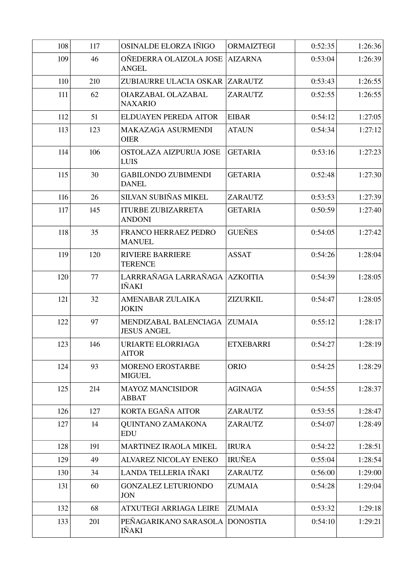| 108 | 117 | OSINALDE ELORZA IÑIGO                        | <b>ORMAIZTEGI</b> | 0:52:35 | 1:26:36 |
|-----|-----|----------------------------------------------|-------------------|---------|---------|
| 109 | 46  | OÑEDERRA OLAIZOLA JOSE<br><b>ANGEL</b>       | <b>AIZARNA</b>    | 0:53:04 | 1:26:39 |
| 110 | 210 | ZUBIAURRE ULACIA OSKAR                       | <b>ZARAUTZ</b>    | 0:53:43 | 1:26:55 |
| 111 | 62  | OIARZABAL OLAZABAL<br><b>NAXARIO</b>         | <b>ZARAUTZ</b>    | 0:52:55 | 1:26:55 |
| 112 | 51  | <b>ELDUAYEN PEREDA AITOR</b>                 | <b>EIBAR</b>      | 0:54:12 | 1:27:05 |
| 113 | 123 | <b>MAKAZAGA ASURMENDI</b><br><b>OIER</b>     | <b>ATAUN</b>      | 0:54:34 | 1:27:12 |
| 114 | 106 | OSTOLAZA AIZPURUA JOSE<br><b>LUIS</b>        | <b>GETARIA</b>    | 0:53:16 | 1:27:23 |
| 115 | 30  | <b>GABILONDO ZUBIMENDI</b><br><b>DANEL</b>   | <b>GETARIA</b>    | 0:52:48 | 1:27:30 |
| 116 | 26  | <b>SILVAN SUBIÑAS MIKEL</b>                  | <b>ZARAUTZ</b>    | 0:53:53 | 1:27:39 |
| 117 | 145 | <b>ITURBE ZUBIZARRETA</b><br><b>ANDONI</b>   | <b>GETARIA</b>    | 0:50:59 | 1:27:40 |
| 118 | 35  | <b>FRANCO HERRAEZ PEDRO</b><br><b>MANUEL</b> | <b>GUEÑES</b>     | 0:54:05 | 1:27:42 |
| 119 | 120 | <b>RIVIERE BARRIERE</b><br><b>TERENCE</b>    | <b>ASSAT</b>      | 0:54:26 | 1:28:04 |
| 120 | 77  | LARRRAÑAGA LARRAÑAGA AZKOITIA<br>IÑAKI       |                   | 0:54:39 | 1:28:05 |
| 121 | 32  | AMENABAR ZULAIKA<br><b>JOKIN</b>             | ZIZURKIL          | 0:54:47 | 1:28:05 |
| 122 | 97  | MENDIZABAL BALENCIAGA<br><b>JESUS ANGEL</b>  | <b>ZUMAIA</b>     | 0:55:12 | 1:28:17 |
| 123 | 146 | URIARTE ELORRIAGA<br><b>AITOR</b>            | <b>ETXEBARRI</b>  | 0:54:27 | 1:28:19 |
| 124 | 93  | <b>MORENO EROSTARBE</b><br><b>MIGUEL</b>     | <b>ORIO</b>       | 0:54:25 | 1:28:29 |
| 125 | 214 | <b>MAYOZ MANCISIDOR</b><br><b>ABBAT</b>      | <b>AGINAGA</b>    | 0:54:55 | 1:28:37 |
| 126 | 127 | KORTA EGAÑA AITOR                            | <b>ZARAUTZ</b>    | 0:53:55 | 1:28:47 |
| 127 | 14  | <b>QUINTANO ZAMAKONA</b><br><b>EDU</b>       | <b>ZARAUTZ</b>    | 0:54:07 | 1:28:49 |
| 128 | 191 | <b>MARTINEZ IRAOLA MIKEL</b>                 | <b>IRURA</b>      | 0:54:22 | 1:28:51 |
| 129 | 49  | ALVAREZ NICOLAY ENEKO                        | <b>IRUÑEA</b>     | 0:55:04 | 1:28:54 |
| 130 | 34  | LANDA TELLERIA IÑAKI                         | <b>ZARAUTZ</b>    | 0:56:00 | 1:29:00 |
| 131 | 60  | <b>GONZALEZ LETURIONDO</b><br><b>JON</b>     | <b>ZUMAIA</b>     | 0:54:28 | 1:29:04 |
| 132 | 68  | <b>ATXUTEGI ARRIAGA LEIRE</b>                | <b>ZUMAIA</b>     | 0:53:32 | 1:29:18 |
| 133 | 201 | PEÑAGARIKANO SARASOLA<br>IÑAKI               | <b>DONOSTIA</b>   | 0:54:10 | 1:29:21 |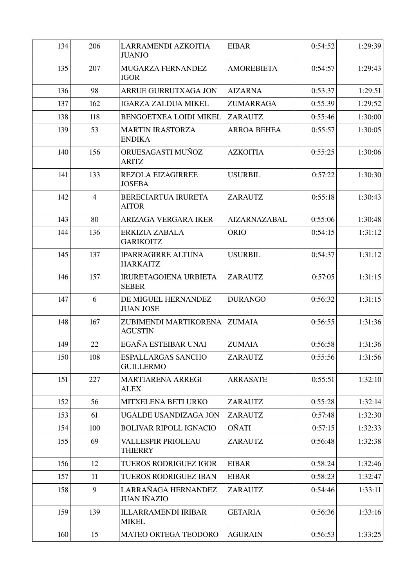| 134 | 206            | LARRAMENDI AZKOITIA<br><b>JUANJO</b>          | <b>EIBAR</b>        | 0:54:52 | 1:29:39 |
|-----|----------------|-----------------------------------------------|---------------------|---------|---------|
| 135 | 207            | MUGARZA FERNANDEZ<br><b>IGOR</b>              | <b>AMOREBIETA</b>   | 0:54:57 | 1:29:43 |
| 136 | 98             | ARRUE GURRUTXAGA JON                          | <b>AIZARNA</b>      | 0:53:37 | 1:29:51 |
| 137 | 162            | <b>IGARZA ZALDUA MIKEL</b>                    | ZUMARRAGA           | 0:55:39 | 1:29:52 |
| 138 | 118            | <b>BENGOETXEA LOIDI MIKEL</b>                 | <b>ZARAUTZ</b>      | 0:55:46 | 1:30:00 |
| 139 | 53             | <b>MARTIN IRASTORZA</b><br><b>ENDIKA</b>      | <b>ARROA BEHEA</b>  | 0:55:57 | 1:30:05 |
| 140 | 156            | ORUESAGASTI MUÑOZ<br><b>ARITZ</b>             | <b>AZKOITIA</b>     | 0:55:25 | 1:30:06 |
| 141 | 133            | <b>REZOLA EIZAGIRREE</b><br><b>JOSEBA</b>     | <b>USURBIL</b>      | 0:57:22 | 1:30:30 |
| 142 | $\overline{4}$ | <b>BERECIARTUA IRURETA</b><br><b>AITOR</b>    | <b>ZARAUTZ</b>      | 0:55:18 | 1:30:43 |
| 143 | 80             | <b>ARIZAGA VERGARA IKER</b>                   | <b>AIZARNAZABAL</b> | 0:55:06 | 1:30:48 |
| 144 | 136            | ERKIZIA ZABALA<br><b>GARIKOITZ</b>            | <b>ORIO</b>         | 0:54:15 | 1:31:12 |
| 145 | 137            | <b>IPARRAGIRRE ALTUNA</b><br><b>HARKAITZ</b>  | <b>USURBIL</b>      | 0:54:37 | 1:31:12 |
| 146 | 157            | <b>IRURETAGOIENA URBIETA</b><br><b>SEBER</b>  | <b>ZARAUTZ</b>      | 0:57:05 | 1:31:15 |
| 147 | 6              | DE MIGUEL HERNANDEZ<br><b>JUAN JOSE</b>       | <b>DURANGO</b>      | 0:56:32 | 1:31:15 |
| 148 | 167            | ZUBIMENDI MARTIKORENA<br><b>AGUSTIN</b>       | <b>ZUMAIA</b>       | 0:56:55 | 1:31:36 |
| 149 | 22             | EGAÑA ESTEIBAR UNAI                           | <b>ZUMAIA</b>       | 0:56:58 | 1:31:36 |
| 150 | 108            | <b>ESPALLARGAS SANCHO</b><br><b>GUILLERMO</b> | <b>ZARAUTZ</b>      | 0:55:56 | 1:31:56 |
| 151 | 227            | <b>MARTIARENA ARREGI</b><br><b>ALEX</b>       | <b>ARRASATE</b>     | 0:55:51 | 1:32:10 |
| 152 | 56             | <b>MITXELENA BETI URKO</b>                    | <b>ZARAUTZ</b>      | 0:55:28 | 1:32:14 |
| 153 | 61             | UGALDE USANDIZAGA JON                         | <b>ZARAUTZ</b>      | 0:57:48 | 1:32:30 |
| 154 | 100            | <b>BOLIVAR RIPOLL IGNACIO</b>                 | <b>OÑATI</b>        | 0:57:15 | 1:32:33 |
| 155 | 69             | <b>VALLESPIR PRIOLEAU</b><br><b>THIERRY</b>   | <b>ZARAUTZ</b>      | 0:56:48 | 1:32:38 |
| 156 | 12             | <b>TUEROS RODRIGUEZ IGOR</b>                  | <b>EIBAR</b>        | 0:58:24 | 1:32:46 |
| 157 | 11             | <b>TUEROS RODRIGUEZ IBAN</b>                  | <b>EIBAR</b>        | 0:58:23 | 1:32:47 |
| 158 | 9              | LARRAÑAGA HERNANDEZ<br><b>JUAN IÑAZIO</b>     | <b>ZARAUTZ</b>      | 0:54:46 | 1:33:11 |
| 159 | 139            | <b>ILLARRAMENDI IRIBAR</b><br><b>MIKEL</b>    | <b>GETARIA</b>      | 0:56:36 | 1:33:16 |
| 160 | 15             | MATEO ORTEGA TEODORO                          | <b>AGURAIN</b>      | 0:56:53 | 1:33:25 |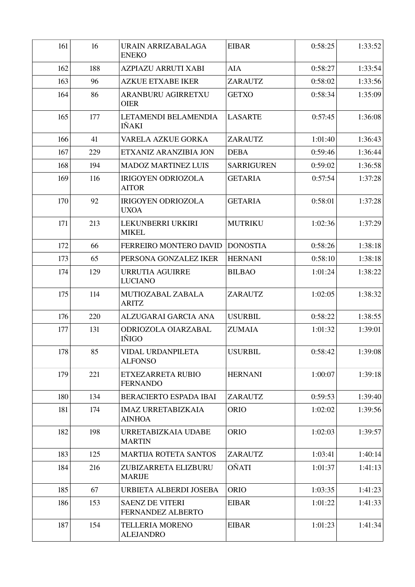| 161 | 16  | URAIN ARRIZABALAGA<br><b>ENEKO</b>          | <b>EIBAR</b>      | 0:58:25 | 1:33:52 |
|-----|-----|---------------------------------------------|-------------------|---------|---------|
| 162 | 188 | <b>AZPIAZU ARRUTI XABI</b>                  | <b>AIA</b>        | 0:58:27 | 1:33:54 |
| 163 | 96  | <b>AZKUE ETXABE IKER</b>                    | <b>ZARAUTZ</b>    | 0:58:02 | 1:33:56 |
| 164 | 86  | <b>ARANBURU AGIRRETXU</b><br><b>OIER</b>    | <b>GETXO</b>      | 0:58:34 | 1:35:09 |
| 165 | 177 | LETAMENDI BELAMENDIA<br>IÑAKI               | <b>LASARTE</b>    | 0:57:45 | 1:36:08 |
| 166 | 41  | <b>VARELA AZKUE GORKA</b>                   | <b>ZARAUTZ</b>    | 1:01:40 | 1:36:43 |
| 167 | 229 | ETXANIZ ARANZIBIA JON                       | <b>DEBA</b>       | 0:59:46 | 1:36:44 |
| 168 | 194 | <b>MADOZ MARTINEZ LUIS</b>                  | <b>SARRIGUREN</b> | 0:59:02 | 1:36:58 |
| 169 | 116 | <b>IRIGOYEN ODRIOZOLA</b><br><b>AITOR</b>   | <b>GETARIA</b>    | 0:57:54 | 1:37:28 |
| 170 | 92  | <b>IRIGOYEN ODRIOZOLA</b><br><b>UXOA</b>    | <b>GETARIA</b>    | 0:58:01 | 1:37:28 |
| 171 | 213 | LEKUNBERRI URKIRI<br><b>MIKEL</b>           | <b>MUTRIKU</b>    | 1:02:36 | 1:37:29 |
| 172 | 66  | FERREIRO MONTERO DAVID                      | <b>DONOSTIA</b>   | 0:58:26 | 1:38:18 |
| 173 | 65  | PERSONA GONZALEZ IKER                       | <b>HERNANI</b>    | 0:58:10 | 1:38:18 |
| 174 | 129 | <b>URRUTIA AGUIRRE</b><br><b>LUCIANO</b>    | <b>BILBAO</b>     | 1:01:24 | 1:38:22 |
| 175 | 114 | MUTIOZABAL ZABALA<br><b>ARITZ</b>           | <b>ZARAUTZ</b>    | 1:02:05 | 1:38:32 |
| 176 | 220 | ALZUGARAI GARCIA ANA                        | <b>USURBIL</b>    | 0:58:22 | 1:38:55 |
| 177 | 131 | ODRIOZOLA OIARZABAL<br>IÑIGO                | <b>ZUMAIA</b>     | 1:01:32 | 1:39:01 |
| 178 | 85  | VIDAL URDANPILETA<br><b>ALFONSO</b>         | <b>USURBIL</b>    | 0:58:42 | 1:39:08 |
| 179 | 221 | ETXEZARRETA RUBIO<br><b>FERNANDO</b>        | <b>HERNANI</b>    | 1:00:07 | 1:39:18 |
| 180 | 134 | <b>BERACIERTO ESPADA IBAI</b>               | <b>ZARAUTZ</b>    | 0:59:53 | 1:39:40 |
| 181 | 174 | <b>IMAZ URRETABIZKAIA</b><br><b>AINHOA</b>  | <b>ORIO</b>       | 1:02:02 | 1:39:56 |
| 182 | 198 | URRETABIZKAIA UDABE<br><b>MARTIN</b>        | <b>ORIO</b>       | 1:02:03 | 1:39:57 |
| 183 | 125 | <b>MARTIJA ROTETA SANTOS</b>                | <b>ZARAUTZ</b>    | 1:03:41 | 1:40:14 |
| 184 | 216 | ZUBIZARRETA ELIZBURU<br><b>MARIJE</b>       | <b>OÑATI</b>      | 1:01:37 | 1:41:13 |
| 185 | 67  | URBIETA ALBERDI JOSEBA                      | <b>ORIO</b>       | 1:03:35 | 1:41:23 |
| 186 | 153 | <b>SAENZ DE VITERI</b><br>FERNANDEZ ALBERTO | <b>EIBAR</b>      | 1:01:22 | 1:41:33 |
| 187 | 154 | <b>TELLERIA MORENO</b><br><b>ALEJANDRO</b>  | <b>EIBAR</b>      | 1:01:23 | 1:41:34 |